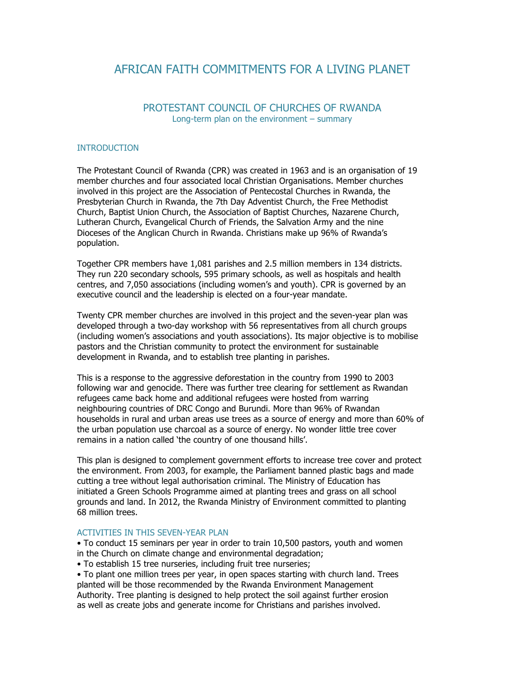# AFRICAN FAITH COMMITMENTS FOR A LIVING PLANET

## PROTESTANT COUNCIL OF CHURCHES OF RWANDA Long-term plan on the environment – summary

### **INTRODUCTION**

The Protestant Council of Rwanda (CPR) was created in 1963 and is an organisation of 19 member churches and four associated local Christian Organisations. Member churches involved in this project are the Association of Pentecostal Churches in Rwanda, the Presbyterian Church in Rwanda, the 7th Day Adventist Church, the Free Methodist Church, Baptist Union Church, the Association of Baptist Churches, Nazarene Church, Lutheran Church, Evangelical Church of Friends, the Salvation Army and the nine Dioceses of the Anglican Church in Rwanda. Christians make up 96% of Rwanda's population.

Together CPR members have 1,081 parishes and 2.5 million members in 134 districts. They run 220 secondary schools, 595 primary schools, as well as hospitals and health centres, and 7,050 associations (including women's and youth). CPR is governed by an executive council and the leadership is elected on a four-year mandate.

Twenty CPR member churches are involved in this project and the seven-year plan was developed through a two-day workshop with 56 representatives from all church groups (including women's associations and youth associations). Its major objective is to mobilise pastors and the Christian community to protect the environment for sustainable development in Rwanda, and to establish tree planting in parishes.

This is a response to the aggressive deforestation in the country from 1990 to 2003 following war and genocide. There was further tree clearing for settlement as Rwandan refugees came back home and additional refugees were hosted from warring neighbouring countries of DRC Congo and Burundi. More than 96% of Rwandan households in rural and urban areas use trees as a source of energy and more than 60% of the urban population use charcoal as a source of energy. No wonder little tree cover remains in a nation called 'the country of one thousand hills'.

This plan is designed to complement government efforts to increase tree cover and protect the environment. From 2003, for example, the Parliament banned plastic bags and made cutting a tree without legal authorisation criminal. The Ministry of Education has initiated a Green Schools Programme aimed at planting trees and grass on all school grounds and land. In 2012, the Rwanda Ministry of Environment committed to planting 68 million trees.

### ACTIVITIES IN THIS SEVEN-YEAR PLAN

• To conduct 15 seminars per year in order to train 10,500 pastors, youth and women in the Church on climate change and environmental degradation;

• To establish 15 tree nurseries, including fruit tree nurseries;

• To plant one million trees per year, in open spaces starting with church land. Trees planted will be those recommended by the Rwanda Environment Management Authority. Tree planting is designed to help protect the soil against further erosion as well as create jobs and generate income for Christians and parishes involved.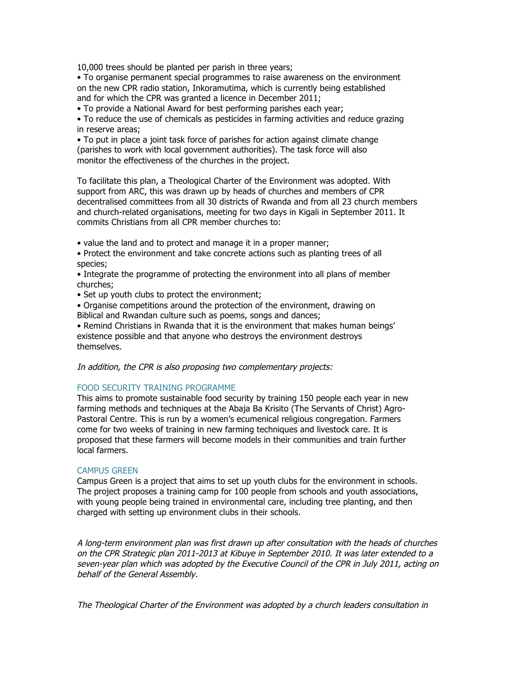10,000 trees should be planted per parish in three years;

• To organise permanent special programmes to raise awareness on the environment on the new CPR radio station, Inkoramutima, which is currently being established and for which the CPR was granted a licence in December 2011;

• To provide a National Award for best performing parishes each year;

• To reduce the use of chemicals as pesticides in farming activities and reduce grazing in reserve areas;

• To put in place a joint task force of parishes for action against climate change (parishes to work with local government authorities). The task force will also monitor the effectiveness of the churches in the project.

To facilitate this plan, a Theological Charter of the Environment was adopted. With support from ARC, this was drawn up by heads of churches and members of CPR decentralised committees from all 30 districts of Rwanda and from all 23 church members and church-related organisations, meeting for two days in Kigali in September 2011. It commits Christians from all CPR member churches to:

• value the land and to protect and manage it in a proper manner;

• Protect the environment and take concrete actions such as planting trees of all species;

• Integrate the programme of protecting the environment into all plans of member churches;

• Set up youth clubs to protect the environment;

• Organise competitions around the protection of the environment, drawing on Biblical and Rwandan culture such as poems, songs and dances;

• Remind Christians in Rwanda that it is the environment that makes human beings' existence possible and that anyone who destroys the environment destroys themselves.

In addition, the CPR is also proposing two complementary projects:

#### FOOD SECURITY TRAINING PROGRAMME

This aims to promote sustainable food security by training 150 people each year in new farming methods and techniques at the Abaja Ba Krisito (The Servants of Christ) Agro-Pastoral Centre. This is run by a women's ecumenical religious congregation. Farmers come for two weeks of training in new farming techniques and livestock care. It is proposed that these farmers will become models in their communities and train further local farmers.

#### CAMPUS GREEN

Campus Green is a project that aims to set up youth clubs for the environment in schools. The project proposes a training camp for 100 people from schools and youth associations, with young people being trained in environmental care, including tree planting, and then charged with setting up environment clubs in their schools.

A long-term environment plan was first drawn up after consultation with the heads of churches on the CPR Strategic plan 2011-2013 at Kibuye in September 2010. It was later extended to a seven-year plan which was adopted by the Executive Council of the CPR in July 2011, acting on behalf of the General Assembly.

The Theological Charter of the Environment was adopted by a church leaders consultation in